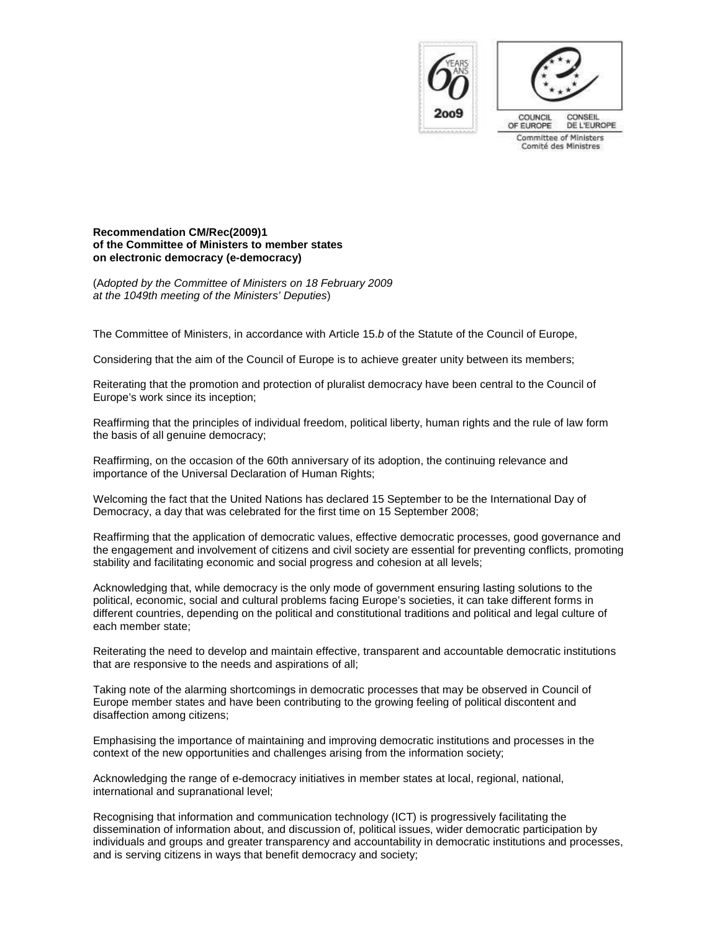

COUNCIL CONSEIL DE L'EUROPE OF EUROPE Committee of Ministers Comité des Ministres

## **Recommendation CM/Rec(2009)1 of the Committee of Ministers to member states on electronic democracy (e-democracy)**

(Adopted by the Committee of Ministers on 18 February 2009 at the 1049th meeting of the Ministers' Deputies)

The Committee of Ministers, in accordance with Article 15.b of the Statute of the Council of Europe,

Considering that the aim of the Council of Europe is to achieve greater unity between its members;

Reiterating that the promotion and protection of pluralist democracy have been central to the Council of Europe's work since its inception;

Reaffirming that the principles of individual freedom, political liberty, human rights and the rule of law form the basis of all genuine democracy;

Reaffirming, on the occasion of the 60th anniversary of its adoption, the continuing relevance and importance of the Universal Declaration of Human Rights;

Welcoming the fact that the United Nations has declared 15 September to be the International Day of Democracy, a day that was celebrated for the first time on 15 September 2008;

Reaffirming that the application of democratic values, effective democratic processes, good governance and the engagement and involvement of citizens and civil society are essential for preventing conflicts, promoting stability and facilitating economic and social progress and cohesion at all levels;

Acknowledging that, while democracy is the only mode of government ensuring lasting solutions to the political, economic, social and cultural problems facing Europe's societies, it can take different forms in different countries, depending on the political and constitutional traditions and political and legal culture of each member state;

Reiterating the need to develop and maintain effective, transparent and accountable democratic institutions that are responsive to the needs and aspirations of all;

Taking note of the alarming shortcomings in democratic processes that may be observed in Council of Europe member states and have been contributing to the growing feeling of political discontent and disaffection among citizens;

Emphasising the importance of maintaining and improving democratic institutions and processes in the context of the new opportunities and challenges arising from the information society;

Acknowledging the range of e-democracy initiatives in member states at local, regional, national, international and supranational level;

Recognising that information and communication technology (ICT) is progressively facilitating the dissemination of information about, and discussion of, political issues, wider democratic participation by individuals and groups and greater transparency and accountability in democratic institutions and processes, and is serving citizens in ways that benefit democracy and society;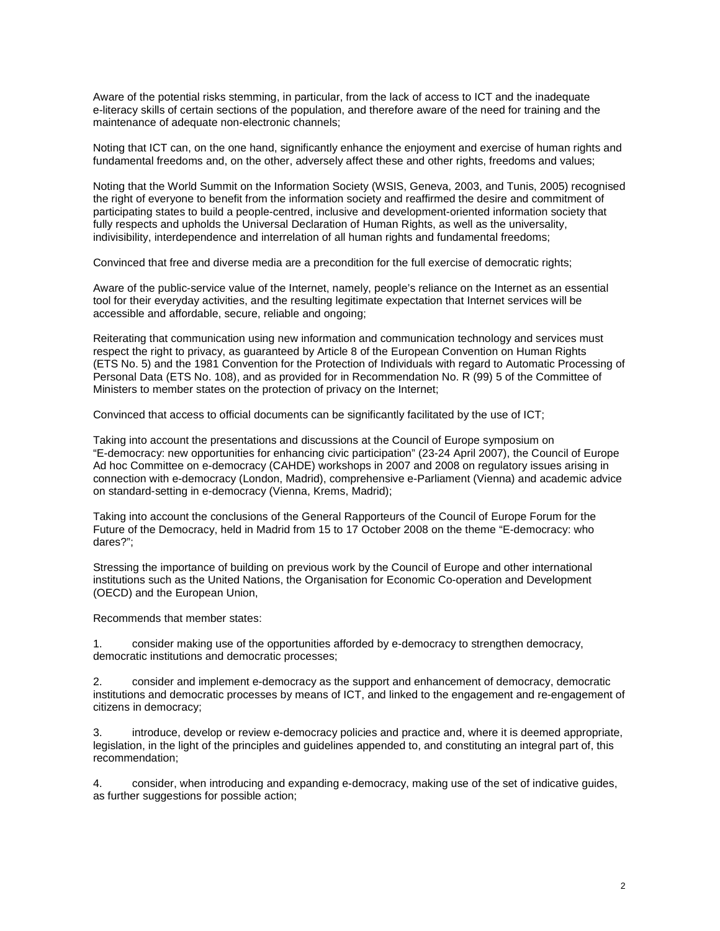Aware of the potential risks stemming, in particular, from the lack of access to ICT and the inadequate e-literacy skills of certain sections of the population, and therefore aware of the need for training and the maintenance of adequate non-electronic channels;

Noting that ICT can, on the one hand, significantly enhance the enjoyment and exercise of human rights and fundamental freedoms and, on the other, adversely affect these and other rights, freedoms and values;

Noting that the World Summit on the Information Society (WSIS, Geneva, 2003, and Tunis, 2005) recognised the right of everyone to benefit from the information society and reaffirmed the desire and commitment of participating states to build a people-centred, inclusive and development-oriented information society that fully respects and upholds the Universal Declaration of Human Rights, as well as the universality, indivisibility, interdependence and interrelation of all human rights and fundamental freedoms;

Convinced that free and diverse media are a precondition for the full exercise of democratic rights;

Aware of the public-service value of the Internet, namely, people's reliance on the Internet as an essential tool for their everyday activities, and the resulting legitimate expectation that Internet services will be accessible and affordable, secure, reliable and ongoing;

Reiterating that communication using new information and communication technology and services must respect the right to privacy, as guaranteed by Article 8 of the European Convention on Human Rights (ETS No. 5) and the 1981 Convention for the Protection of Individuals with regard to Automatic Processing of Personal Data (ETS No. 108), and as provided for in Recommendation No. R (99) 5 of the Committee of Ministers to member states on the protection of privacy on the Internet;

Convinced that access to official documents can be significantly facilitated by the use of ICT;

Taking into account the presentations and discussions at the Council of Europe symposium on "E-democracy: new opportunities for enhancing civic participation" (23-24 April 2007), the Council of Europe Ad hoc Committee on e-democracy (CAHDE) workshops in 2007 and 2008 on regulatory issues arising in connection with e-democracy (London, Madrid), comprehensive e-Parliament (Vienna) and academic advice on standard-setting in e-democracy (Vienna, Krems, Madrid);

Taking into account the conclusions of the General Rapporteurs of the Council of Europe Forum for the Future of the Democracy, held in Madrid from 15 to 17 October 2008 on the theme "E-democracy: who dares?";

Stressing the importance of building on previous work by the Council of Europe and other international institutions such as the United Nations, the Organisation for Economic Co-operation and Development (OECD) and the European Union,

Recommends that member states:

1. consider making use of the opportunities afforded by e-democracy to strengthen democracy, democratic institutions and democratic processes;

2. consider and implement e-democracy as the support and enhancement of democracy, democratic institutions and democratic processes by means of ICT, and linked to the engagement and re-engagement of citizens in democracy;

3. introduce, develop or review e-democracy policies and practice and, where it is deemed appropriate, legislation, in the light of the principles and guidelines appended to, and constituting an integral part of, this recommendation;

4. consider, when introducing and expanding e-democracy, making use of the set of indicative guides, as further suggestions for possible action;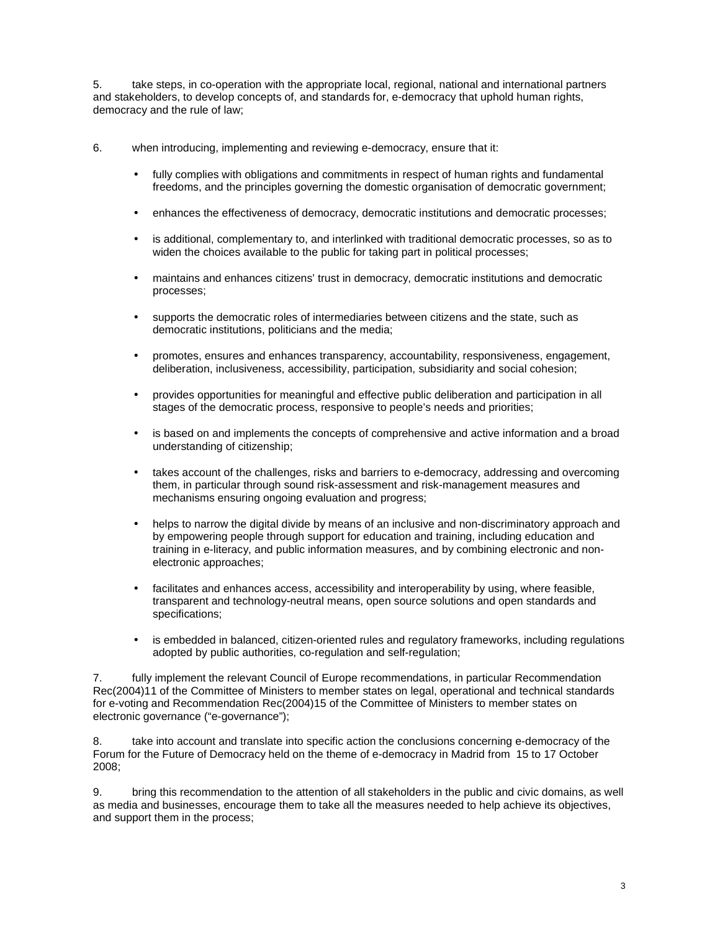5. take steps, in co-operation with the appropriate local, regional, national and international partners and stakeholders, to develop concepts of, and standards for, e-democracy that uphold human rights, democracy and the rule of law;

6. when introducing, implementing and reviewing e-democracy, ensure that it:

- fully complies with obligations and commitments in respect of human rights and fundamental freedoms, and the principles governing the domestic organisation of democratic government;
- enhances the effectiveness of democracy, democratic institutions and democratic processes;
- is additional, complementary to, and interlinked with traditional democratic processes, so as to widen the choices available to the public for taking part in political processes;
- maintains and enhances citizens' trust in democracy, democratic institutions and democratic processes;
- supports the democratic roles of intermediaries between citizens and the state, such as democratic institutions, politicians and the media;
- promotes, ensures and enhances transparency, accountability, responsiveness, engagement, deliberation, inclusiveness, accessibility, participation, subsidiarity and social cohesion;
- provides opportunities for meaningful and effective public deliberation and participation in all stages of the democratic process, responsive to people's needs and priorities;
- is based on and implements the concepts of comprehensive and active information and a broad understanding of citizenship;
- takes account of the challenges, risks and barriers to e-democracy, addressing and overcoming them, in particular through sound risk-assessment and risk-management measures and mechanisms ensuring ongoing evaluation and progress;
- helps to narrow the digital divide by means of an inclusive and non-discriminatory approach and by empowering people through support for education and training, including education and training in e-literacy, and public information measures, and by combining electronic and nonelectronic approaches;
- facilitates and enhances access, accessibility and interoperability by using, where feasible, transparent and technology-neutral means, open source solutions and open standards and specifications;
- is embedded in balanced, citizen-oriented rules and regulatory frameworks, including regulations adopted by public authorities, co-regulation and self-regulation;

7. fully implement the relevant Council of Europe recommendations, in particular Recommendation Rec(2004)11 of the Committee of Ministers to member states on legal, operational and technical standards for e-voting and Recommendation Rec(2004)15 of the Committee of Ministers to member states on electronic governance ("e-governance");

8. take into account and translate into specific action the conclusions concerning e-democracy of the Forum for the Future of Democracy held on the theme of e-democracy in Madrid from 15 to 17 October 2008;

9. bring this recommendation to the attention of all stakeholders in the public and civic domains, as well as media and businesses, encourage them to take all the measures needed to help achieve its objectives, and support them in the process;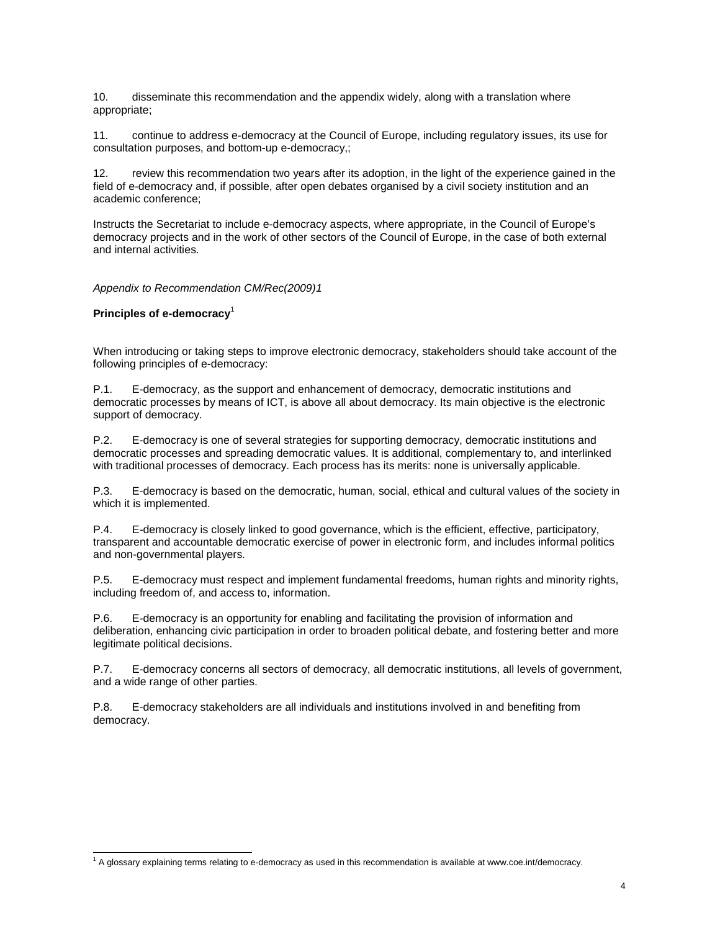10. disseminate this recommendation and the appendix widely, along with a translation where appropriate;

11. continue to address e-democracy at the Council of Europe, including regulatory issues, its use for consultation purposes, and bottom-up e-democracy,;

12. review this recommendation two years after its adoption, in the light of the experience gained in the field of e-democracy and, if possible, after open debates organised by a civil society institution and an academic conference;

Instructs the Secretariat to include e-democracy aspects, where appropriate, in the Council of Europe's democracy projects and in the work of other sectors of the Council of Europe, in the case of both external and internal activities.

Appendix to Recommendation CM/Rec(2009)1

**Principles of e-democracy**<sup>1</sup>

 $\overline{a}$ 

When introducing or taking steps to improve electronic democracy, stakeholders should take account of the following principles of e-democracy:

P.1. E-democracy, as the support and enhancement of democracy, democratic institutions and democratic processes by means of ICT, is above all about democracy. Its main objective is the electronic support of democracy.

P.2. E-democracy is one of several strategies for supporting democracy, democratic institutions and democratic processes and spreading democratic values. It is additional, complementary to, and interlinked with traditional processes of democracy. Each process has its merits: none is universally applicable.

P.3. E-democracy is based on the democratic, human, social, ethical and cultural values of the society in which it is implemented.

P.4. E-democracy is closely linked to good governance, which is the efficient, effective, participatory, transparent and accountable democratic exercise of power in electronic form, and includes informal politics and non-governmental players.

P.5. E-democracy must respect and implement fundamental freedoms, human rights and minority rights, including freedom of, and access to, information.

P.6. E-democracy is an opportunity for enabling and facilitating the provision of information and deliberation, enhancing civic participation in order to broaden political debate, and fostering better and more legitimate political decisions.

P.7. E-democracy concerns all sectors of democracy, all democratic institutions, all levels of government, and a wide range of other parties.

P.8. E-democracy stakeholders are all individuals and institutions involved in and benefiting from democracy.

<sup>&</sup>lt;sup>1</sup> A glossary explaining terms relating to e-democracy as used in this recommendation is available at www.coe.int/democracy.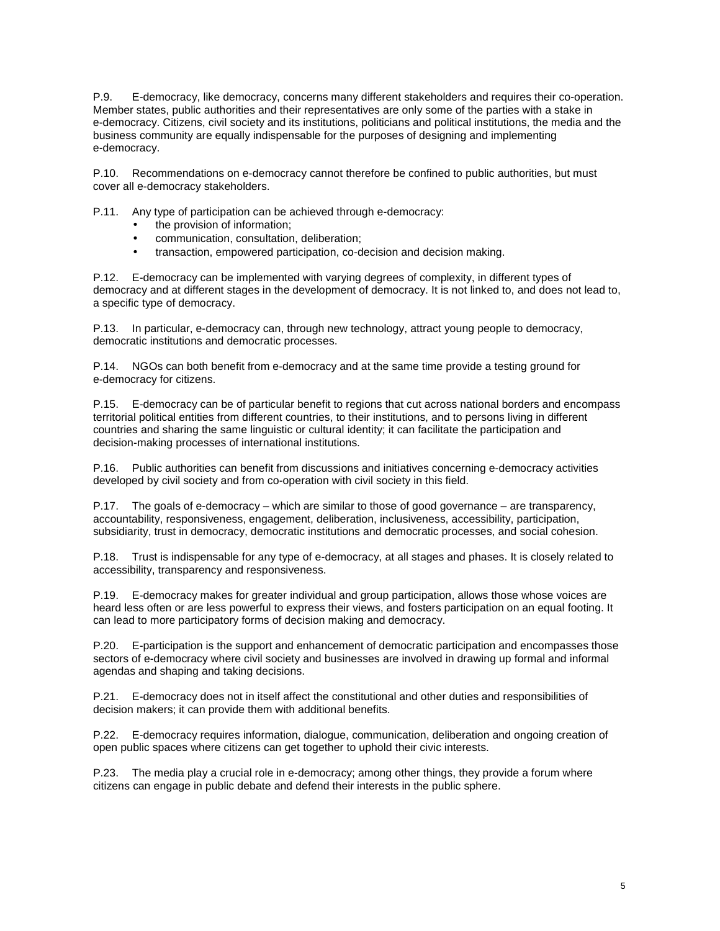P.9. E-democracy, like democracy, concerns many different stakeholders and requires their co-operation. Member states, public authorities and their representatives are only some of the parties with a stake in e-democracy. Citizens, civil society and its institutions, politicians and political institutions, the media and the business community are equally indispensable for the purposes of designing and implementing e-democracy.

P.10. Recommendations on e-democracy cannot therefore be confined to public authorities, but must cover all e-democracy stakeholders.

P.11. Any type of participation can be achieved through e-democracy:

- the provision of information;
- communication, consultation, deliberation;
- transaction, empowered participation, co-decision and decision making.

P.12. E-democracy can be implemented with varying degrees of complexity, in different types of democracy and at different stages in the development of democracy. It is not linked to, and does not lead to, a specific type of democracy.

P.13. In particular, e-democracy can, through new technology, attract young people to democracy, democratic institutions and democratic processes.

P.14. NGOs can both benefit from e-democracy and at the same time provide a testing ground for e-democracy for citizens.

P.15. E-democracy can be of particular benefit to regions that cut across national borders and encompass territorial political entities from different countries, to their institutions, and to persons living in different countries and sharing the same linguistic or cultural identity; it can facilitate the participation and decision-making processes of international institutions.

P.16. Public authorities can benefit from discussions and initiatives concerning e-democracy activities developed by civil society and from co-operation with civil society in this field.

P.17. The goals of e-democracy – which are similar to those of good governance – are transparency, accountability, responsiveness, engagement, deliberation, inclusiveness, accessibility, participation, subsidiarity, trust in democracy, democratic institutions and democratic processes, and social cohesion.

P.18. Trust is indispensable for any type of e-democracy, at all stages and phases. It is closely related to accessibility, transparency and responsiveness.

P.19. E-democracy makes for greater individual and group participation, allows those whose voices are heard less often or are less powerful to express their views, and fosters participation on an equal footing. It can lead to more participatory forms of decision making and democracy.

P.20. E-participation is the support and enhancement of democratic participation and encompasses those sectors of e-democracy where civil society and businesses are involved in drawing up formal and informal agendas and shaping and taking decisions.

P.21. E-democracy does not in itself affect the constitutional and other duties and responsibilities of decision makers; it can provide them with additional benefits.

P.22. E-democracy requires information, dialogue, communication, deliberation and ongoing creation of open public spaces where citizens can get together to uphold their civic interests.

P.23. The media play a crucial role in e-democracy; among other things, they provide a forum where citizens can engage in public debate and defend their interests in the public sphere.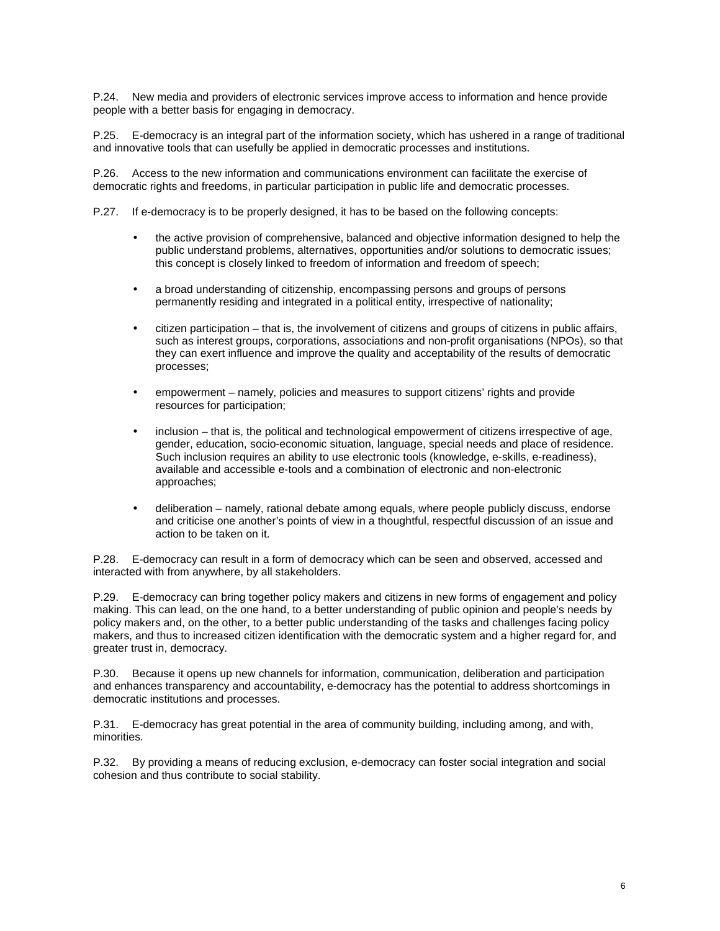P.24. New media and providers of electronic services improve access to information and hence provide people with a better basis for engaging in democracy.

P.25. E-democracy is an integral part of the information society, which has ushered in a range of traditional and innovative tools that can usefully be applied in democratic processes and institutions.

P.26. Access to the new information and communications environment can facilitate the exercise of democratic rights and freedoms, in particular participation in public life and democratic processes.

P.27. If e-democracy is to be properly designed, it has to be based on the following concepts:

- the active provision of comprehensive, balanced and objective information designed to help the public understand problems, alternatives, opportunities and/or solutions to democratic issues; this concept is closely linked to freedom of information and freedom of speech;
- a broad understanding of citizenship, encompassing persons and groups of persons permanently residing and integrated in a political entity, irrespective of nationality;
- citizen participation that is, the involvement of citizens and groups of citizens in public affairs, such as interest groups, corporations, associations and non-profit organisations (NPOs), so that they can exert influence and improve the quality and acceptability of the results of democratic processes;
- empowerment namely, policies and measures to support citizens' rights and provide resources for participation;
- inclusion that is, the political and technological empowerment of citizens irrespective of age, gender, education, socio-economic situation, language, special needs and place of residence. Such inclusion requires an ability to use electronic tools (knowledge, e-skills, e-readiness), available and accessible e-tools and a combination of electronic and non-electronic approaches;
- deliberation namely, rational debate among equals, where people publicly discuss, endorse and criticise one another's points of view in a thoughtful, respectful discussion of an issue and action to be taken on it.

P.28. E-democracy can result in a form of democracy which can be seen and observed, accessed and interacted with from anywhere, by all stakeholders.

P.29. E-democracy can bring together policy makers and citizens in new forms of engagement and policy making. This can lead, on the one hand, to a better understanding of public opinion and people's needs by policy makers and, on the other, to a better public understanding of the tasks and challenges facing policy makers, and thus to increased citizen identification with the democratic system and a higher regard for, and greater trust in, democracy.

P.30. Because it opens up new channels for information, communication, deliberation and participation and enhances transparency and accountability, e-democracy has the potential to address shortcomings in democratic institutions and processes.

P.31. E-democracy has great potential in the area of community building, including among, and with, minorities.

P.32. By providing a means of reducing exclusion, e-democracy can foster social integration and social cohesion and thus contribute to social stability.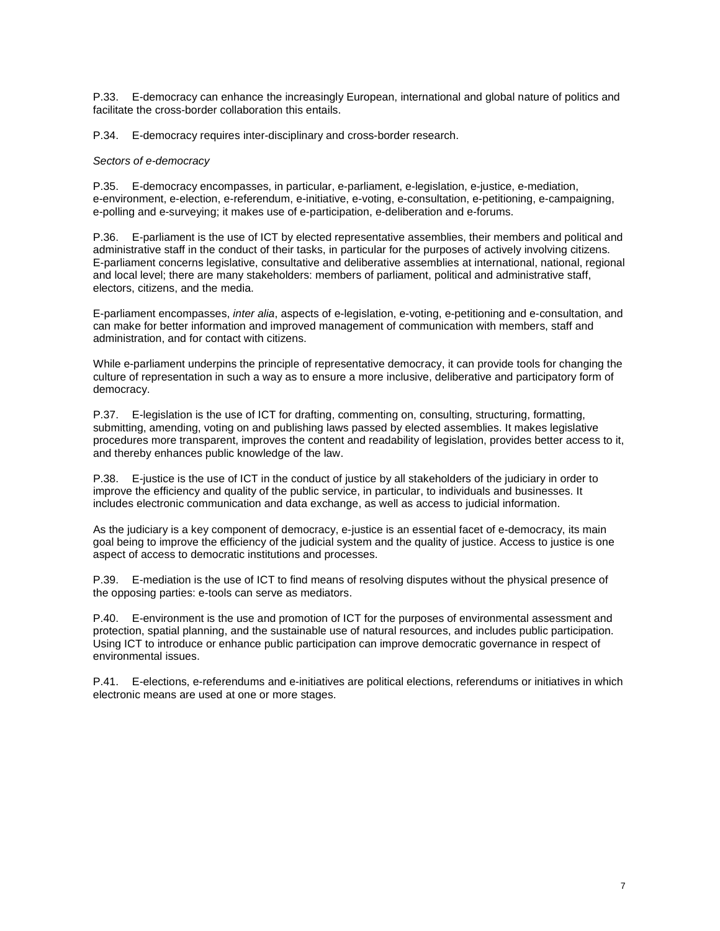P.33. E-democracy can enhance the increasingly European, international and global nature of politics and facilitate the cross-border collaboration this entails.

P.34. E-democracy requires inter-disciplinary and cross-border research.

#### Sectors of e-democracy

P.35. E-democracy encompasses, in particular, e-parliament, e-legislation, e-justice, e-mediation, e-environment, e-election, e-referendum, e-initiative, e-voting, e-consultation, e-petitioning, e-campaigning, e-polling and e-surveying; it makes use of e-participation, e-deliberation and e-forums.

P.36. E-parliament is the use of ICT by elected representative assemblies, their members and political and administrative staff in the conduct of their tasks, in particular for the purposes of actively involving citizens. E-parliament concerns legislative, consultative and deliberative assemblies at international, national, regional and local level; there are many stakeholders: members of parliament, political and administrative staff, electors, citizens, and the media.

E-parliament encompasses, inter alia, aspects of e-legislation, e-voting, e-petitioning and e-consultation, and can make for better information and improved management of communication with members, staff and administration, and for contact with citizens.

While e-parliament underpins the principle of representative democracy, it can provide tools for changing the culture of representation in such a way as to ensure a more inclusive, deliberative and participatory form of democracy.

P.37. E-legislation is the use of ICT for drafting, commenting on, consulting, structuring, formatting, submitting, amending, voting on and publishing laws passed by elected assemblies. It makes legislative procedures more transparent, improves the content and readability of legislation, provides better access to it, and thereby enhances public knowledge of the law.

P.38. E-justice is the use of ICT in the conduct of justice by all stakeholders of the judiciary in order to improve the efficiency and quality of the public service, in particular, to individuals and businesses. It includes electronic communication and data exchange, as well as access to judicial information.

As the judiciary is a key component of democracy, e-justice is an essential facet of e-democracy, its main goal being to improve the efficiency of the judicial system and the quality of justice. Access to justice is one aspect of access to democratic institutions and processes.

P.39. E-mediation is the use of ICT to find means of resolving disputes without the physical presence of the opposing parties: e-tools can serve as mediators.

P.40. E-environment is the use and promotion of ICT for the purposes of environmental assessment and protection, spatial planning, and the sustainable use of natural resources, and includes public participation. Using ICT to introduce or enhance public participation can improve democratic governance in respect of environmental issues.

P.41. E-elections, e-referendums and e-initiatives are political elections, referendums or initiatives in which electronic means are used at one or more stages.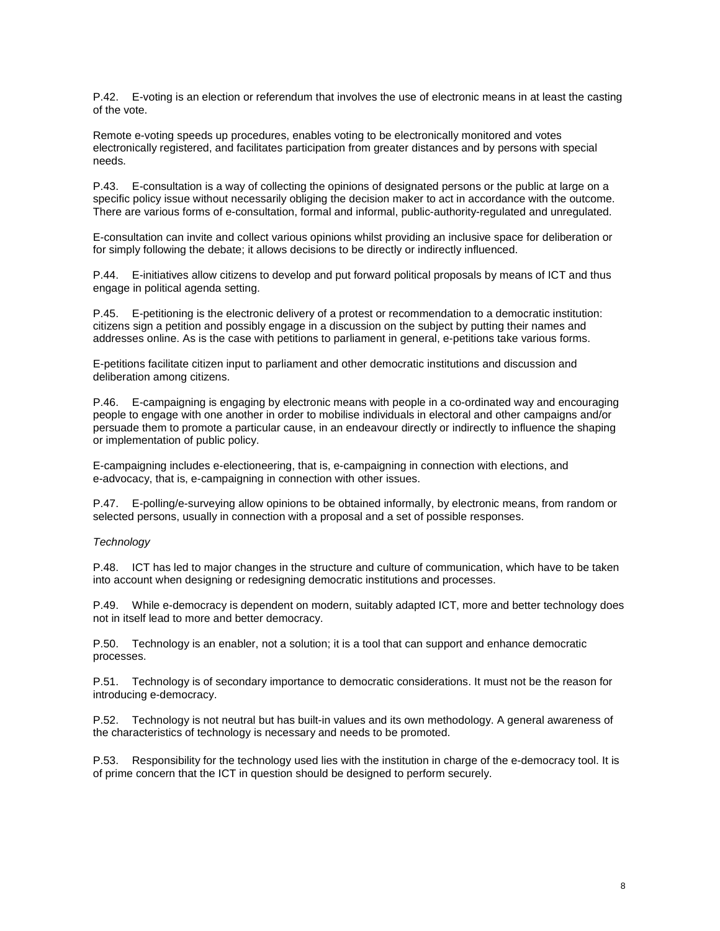P.42. E-voting is an election or referendum that involves the use of electronic means in at least the casting of the vote.

Remote e-voting speeds up procedures, enables voting to be electronically monitored and votes electronically registered, and facilitates participation from greater distances and by persons with special needs.

P.43. E-consultation is a way of collecting the opinions of designated persons or the public at large on a specific policy issue without necessarily obliging the decision maker to act in accordance with the outcome. There are various forms of e-consultation, formal and informal, public-authority-regulated and unregulated.

E-consultation can invite and collect various opinions whilst providing an inclusive space for deliberation or for simply following the debate; it allows decisions to be directly or indirectly influenced.

P.44. E-initiatives allow citizens to develop and put forward political proposals by means of ICT and thus engage in political agenda setting.

P.45. E-petitioning is the electronic delivery of a protest or recommendation to a democratic institution: citizens sign a petition and possibly engage in a discussion on the subject by putting their names and addresses online. As is the case with petitions to parliament in general, e-petitions take various forms.

E-petitions facilitate citizen input to parliament and other democratic institutions and discussion and deliberation among citizens.

P.46. E-campaigning is engaging by electronic means with people in a co-ordinated way and encouraging people to engage with one another in order to mobilise individuals in electoral and other campaigns and/or persuade them to promote a particular cause, in an endeavour directly or indirectly to influence the shaping or implementation of public policy.

E-campaigning includes e-electioneering, that is, e-campaigning in connection with elections, and e-advocacy, that is, e-campaigning in connection with other issues.

P.47. E-polling/e-surveying allow opinions to be obtained informally, by electronic means, from random or selected persons, usually in connection with a proposal and a set of possible responses.

**Technology** 

P.48. ICT has led to major changes in the structure and culture of communication, which have to be taken into account when designing or redesigning democratic institutions and processes.

P.49. While e-democracy is dependent on modern, suitably adapted ICT, more and better technology does not in itself lead to more and better democracy.

P.50. Technology is an enabler, not a solution; it is a tool that can support and enhance democratic processes.

P.51. Technology is of secondary importance to democratic considerations. It must not be the reason for introducing e-democracy.

P.52. Technology is not neutral but has built-in values and its own methodology. A general awareness of the characteristics of technology is necessary and needs to be promoted.

P.53. Responsibility for the technology used lies with the institution in charge of the e-democracy tool. It is of prime concern that the ICT in question should be designed to perform securely.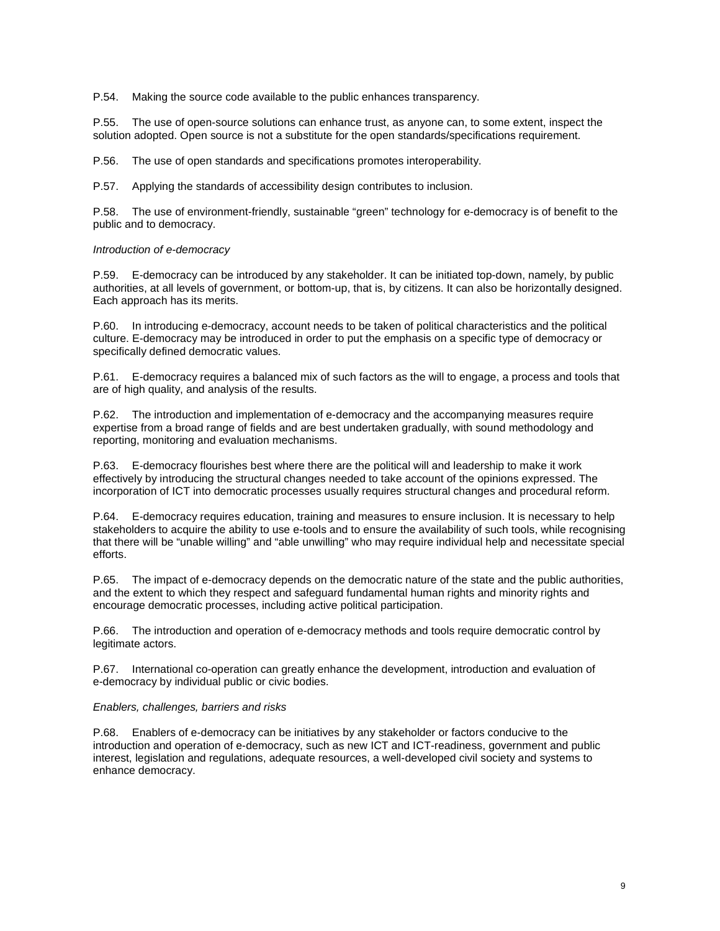P.54. Making the source code available to the public enhances transparency.

P.55. The use of open-source solutions can enhance trust, as anyone can, to some extent, inspect the solution adopted. Open source is not a substitute for the open standards/specifications requirement.

P.56. The use of open standards and specifications promotes interoperability.

P.57. Applying the standards of accessibility design contributes to inclusion.

P.58. The use of environment-friendly, sustainable "green" technology for e-democracy is of benefit to the public and to democracy.

### Introduction of e-democracy

P.59. E-democracy can be introduced by any stakeholder. It can be initiated top-down, namely, by public authorities, at all levels of government, or bottom-up, that is, by citizens. It can also be horizontally designed. Each approach has its merits.

P.60. In introducing e-democracy, account needs to be taken of political characteristics and the political culture. E-democracy may be introduced in order to put the emphasis on a specific type of democracy or specifically defined democratic values.

P.61. E-democracy requires a balanced mix of such factors as the will to engage, a process and tools that are of high quality, and analysis of the results.

P.62. The introduction and implementation of e-democracy and the accompanying measures require expertise from a broad range of fields and are best undertaken gradually, with sound methodology and reporting, monitoring and evaluation mechanisms.

P.63. E-democracy flourishes best where there are the political will and leadership to make it work effectively by introducing the structural changes needed to take account of the opinions expressed. The incorporation of ICT into democratic processes usually requires structural changes and procedural reform.

P.64. E-democracy requires education, training and measures to ensure inclusion. It is necessary to help stakeholders to acquire the ability to use e-tools and to ensure the availability of such tools, while recognising that there will be "unable willing" and "able unwilling" who may require individual help and necessitate special efforts.

P.65. The impact of e-democracy depends on the democratic nature of the state and the public authorities, and the extent to which they respect and safeguard fundamental human rights and minority rights and encourage democratic processes, including active political participation.

P.66. The introduction and operation of e-democracy methods and tools require democratic control by legitimate actors.

P.67. International co-operation can greatly enhance the development, introduction and evaluation of e-democracy by individual public or civic bodies.

### Enablers, challenges, barriers and risks

P.68. Enablers of e-democracy can be initiatives by any stakeholder or factors conducive to the introduction and operation of e-democracy, such as new ICT and ICT-readiness, government and public interest, legislation and regulations, adequate resources, a well-developed civil society and systems to enhance democracy.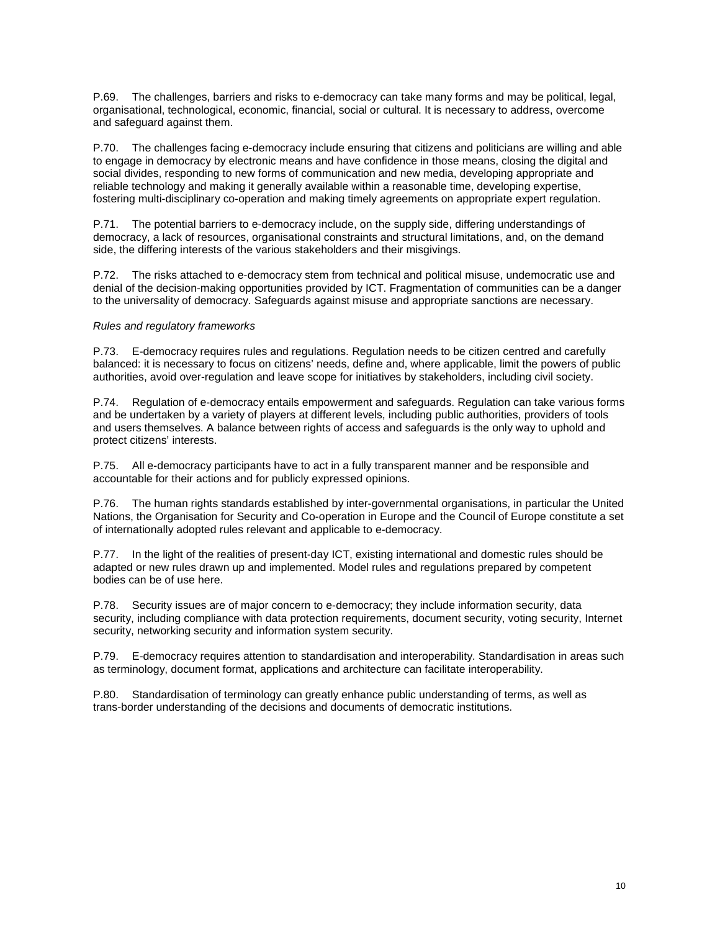P.69. The challenges, barriers and risks to e-democracy can take many forms and may be political, legal, organisational, technological, economic, financial, social or cultural. It is necessary to address, overcome and safeguard against them.

P.70. The challenges facing e-democracy include ensuring that citizens and politicians are willing and able to engage in democracy by electronic means and have confidence in those means, closing the digital and social divides, responding to new forms of communication and new media, developing appropriate and reliable technology and making it generally available within a reasonable time, developing expertise, fostering multi-disciplinary co-operation and making timely agreements on appropriate expert regulation.

P.71. The potential barriers to e-democracy include, on the supply side, differing understandings of democracy, a lack of resources, organisational constraints and structural limitations, and, on the demand side, the differing interests of the various stakeholders and their misgivings.

P.72. The risks attached to e-democracy stem from technical and political misuse, undemocratic use and denial of the decision-making opportunities provided by ICT. Fragmentation of communities can be a danger to the universality of democracy. Safeguards against misuse and appropriate sanctions are necessary.

### Rules and regulatory frameworks

P.73. E-democracy requires rules and regulations. Regulation needs to be citizen centred and carefully balanced: it is necessary to focus on citizens' needs, define and, where applicable, limit the powers of public authorities, avoid over-regulation and leave scope for initiatives by stakeholders, including civil society.

P.74. Regulation of e-democracy entails empowerment and safeguards. Regulation can take various forms and be undertaken by a variety of players at different levels, including public authorities, providers of tools and users themselves. A balance between rights of access and safeguards is the only way to uphold and protect citizens' interests.

P.75. All e-democracy participants have to act in a fully transparent manner and be responsible and accountable for their actions and for publicly expressed opinions.

P.76. The human rights standards established by inter-governmental organisations, in particular the United Nations, the Organisation for Security and Co-operation in Europe and the Council of Europe constitute a set of internationally adopted rules relevant and applicable to e-democracy.

P.77. In the light of the realities of present-day ICT, existing international and domestic rules should be adapted or new rules drawn up and implemented. Model rules and regulations prepared by competent bodies can be of use here.

P.78. Security issues are of major concern to e-democracy; they include information security, data security, including compliance with data protection requirements, document security, voting security, Internet security, networking security and information system security.

P.79. E-democracy requires attention to standardisation and interoperability. Standardisation in areas such as terminology, document format, applications and architecture can facilitate interoperability.

P.80. Standardisation of terminology can greatly enhance public understanding of terms, as well as trans-border understanding of the decisions and documents of democratic institutions.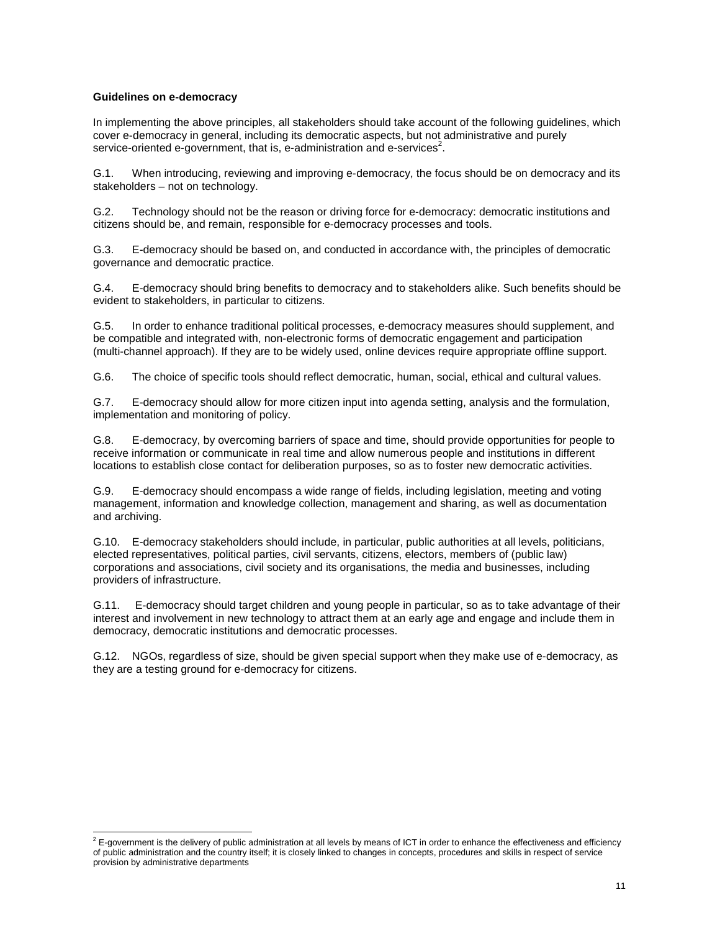## **Guidelines on e-democracy**

In implementing the above principles, all stakeholders should take account of the following guidelines, which cover e-democracy in general, including its democratic aspects, but not administrative and purely service-oriented e-government, that is, e-administration and e-services<sup>2</sup>.

G.1. When introducing, reviewing and improving e-democracy, the focus should be on democracy and its stakeholders – not on technology.

G.2. Technology should not be the reason or driving force for e-democracy: democratic institutions and citizens should be, and remain, responsible for e-democracy processes and tools.

G.3. E-democracy should be based on, and conducted in accordance with, the principles of democratic governance and democratic practice.

G.4. E-democracy should bring benefits to democracy and to stakeholders alike. Such benefits should be evident to stakeholders, in particular to citizens.

G.5. In order to enhance traditional political processes, e-democracy measures should supplement, and be compatible and integrated with, non-electronic forms of democratic engagement and participation (multi-channel approach). If they are to be widely used, online devices require appropriate offline support.

G.6. The choice of specific tools should reflect democratic, human, social, ethical and cultural values.

G.7. E-democracy should allow for more citizen input into agenda setting, analysis and the formulation, implementation and monitoring of policy.

G.8. E-democracy, by overcoming barriers of space and time, should provide opportunities for people to receive information or communicate in real time and allow numerous people and institutions in different locations to establish close contact for deliberation purposes, so as to foster new democratic activities.

G.9. E-democracy should encompass a wide range of fields, including legislation, meeting and voting management, information and knowledge collection, management and sharing, as well as documentation and archiving.

G.10. E-democracy stakeholders should include, in particular, public authorities at all levels, politicians, elected representatives, political parties, civil servants, citizens, electors, members of (public law) corporations and associations, civil society and its organisations, the media and businesses, including providers of infrastructure.

G.11. E-democracy should target children and young people in particular, so as to take advantage of their interest and involvement in new technology to attract them at an early age and engage and include them in democracy, democratic institutions and democratic processes.

G.12. NGOs, regardless of size, should be given special support when they make use of e-democracy, as they are a testing ground for e-democracy for citizens.

 $^2$  E-government is the delivery of public administration at all levels by means of ICT in order to enhance the effectiveness and efficiency of public administration and the country itself; it is closely linked to changes in concepts, procedures and skills in respect of service provision by administrative departments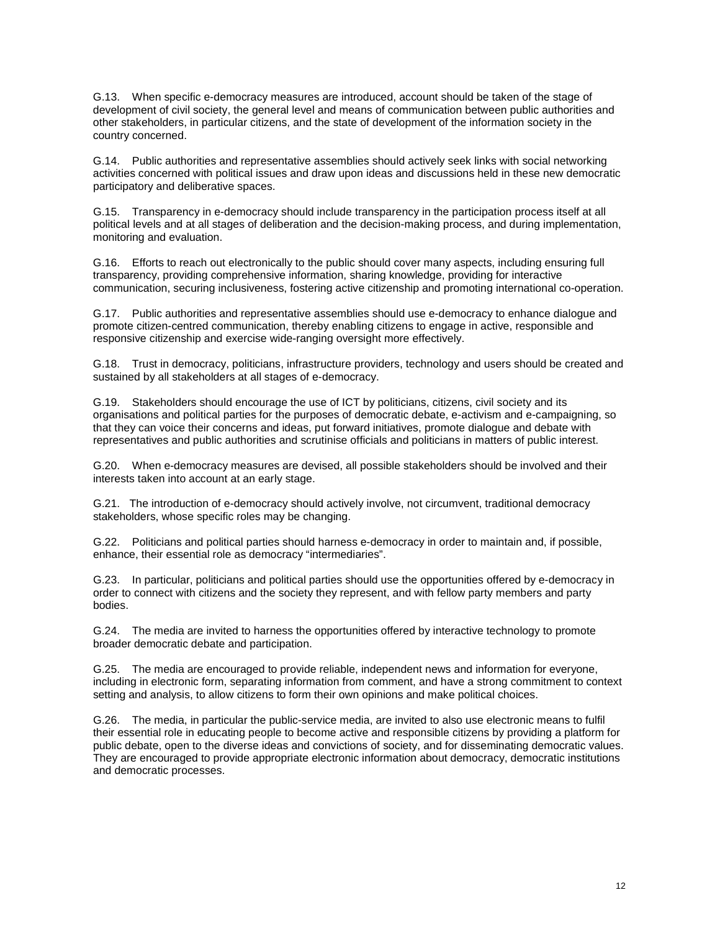G.13. When specific e-democracy measures are introduced, account should be taken of the stage of development of civil society, the general level and means of communication between public authorities and other stakeholders, in particular citizens, and the state of development of the information society in the country concerned.

G.14. Public authorities and representative assemblies should actively seek links with social networking activities concerned with political issues and draw upon ideas and discussions held in these new democratic participatory and deliberative spaces.

G.15. Transparency in e-democracy should include transparency in the participation process itself at all political levels and at all stages of deliberation and the decision-making process, and during implementation, monitoring and evaluation.

G.16. Efforts to reach out electronically to the public should cover many aspects, including ensuring full transparency, providing comprehensive information, sharing knowledge, providing for interactive communication, securing inclusiveness, fostering active citizenship and promoting international co-operation.

G.17. Public authorities and representative assemblies should use e-democracy to enhance dialogue and promote citizen-centred communication, thereby enabling citizens to engage in active, responsible and responsive citizenship and exercise wide-ranging oversight more effectively.

G.18. Trust in democracy, politicians, infrastructure providers, technology and users should be created and sustained by all stakeholders at all stages of e-democracy.

G.19. Stakeholders should encourage the use of ICT by politicians, citizens, civil society and its organisations and political parties for the purposes of democratic debate, e-activism and e-campaigning, so that they can voice their concerns and ideas, put forward initiatives, promote dialogue and debate with representatives and public authorities and scrutinise officials and politicians in matters of public interest.

G.20. When e-democracy measures are devised, all possible stakeholders should be involved and their interests taken into account at an early stage.

G.21. The introduction of e-democracy should actively involve, not circumvent, traditional democracy stakeholders, whose specific roles may be changing.

G.22. Politicians and political parties should harness e-democracy in order to maintain and, if possible, enhance, their essential role as democracy "intermediaries".

G.23. In particular, politicians and political parties should use the opportunities offered by e-democracy in order to connect with citizens and the society they represent, and with fellow party members and party bodies.

G.24. The media are invited to harness the opportunities offered by interactive technology to promote broader democratic debate and participation.

G.25. The media are encouraged to provide reliable, independent news and information for everyone, including in electronic form, separating information from comment, and have a strong commitment to context setting and analysis, to allow citizens to form their own opinions and make political choices.

G.26. The media, in particular the public-service media, are invited to also use electronic means to fulfil their essential role in educating people to become active and responsible citizens by providing a platform for public debate, open to the diverse ideas and convictions of society, and for disseminating democratic values. They are encouraged to provide appropriate electronic information about democracy, democratic institutions and democratic processes.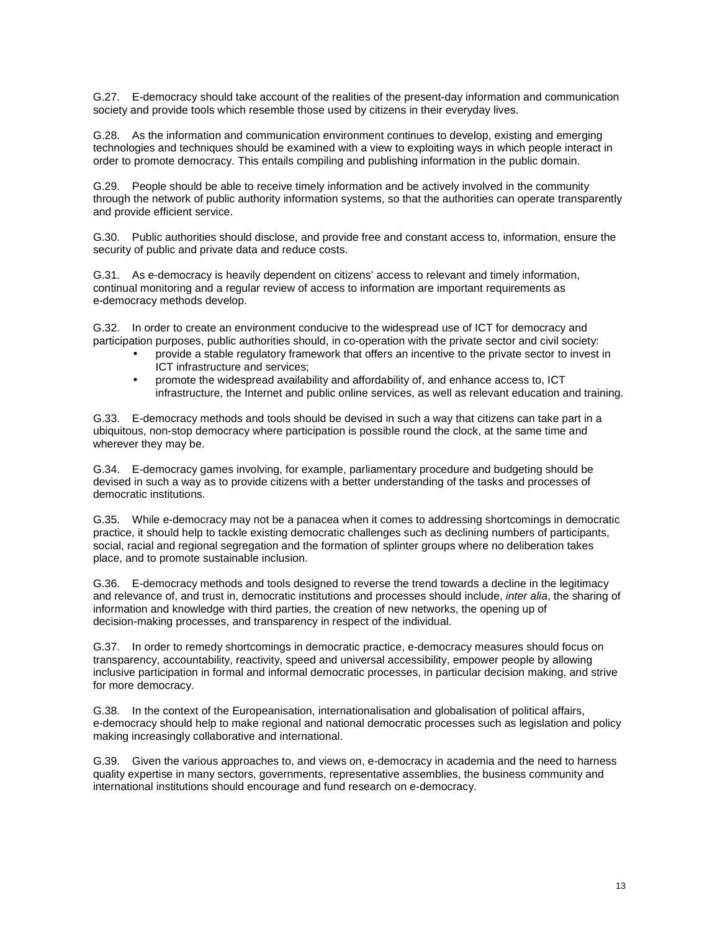G.27. E-democracy should take account of the realities of the present-day information and communication society and provide tools which resemble those used by citizens in their everyday lives.

G.28. As the information and communication environment continues to develop, existing and emerging technologies and techniques should be examined with a view to exploiting ways in which people interact in order to promote democracy. This entails compiling and publishing information in the public domain.

G.29. People should be able to receive timely information and be actively involved in the community through the network of public authority information systems, so that the authorities can operate transparently and provide efficient service.

G.30. Public authorities should disclose, and provide free and constant access to, information, ensure the security of public and private data and reduce costs.

G.31. As e-democracy is heavily dependent on citizens' access to relevant and timely information, continual monitoring and a regular review of access to information are important requirements as e-democracy methods develop.

G.32. In order to create an environment conducive to the widespread use of ICT for democracy and participation purposes, public authorities should, in co-operation with the private sector and civil society:

- provide a stable regulatory framework that offers an incentive to the private sector to invest in ICT infrastructure and services;
- promote the widespread availability and affordability of, and enhance access to, ICT infrastructure, the Internet and public online services, as well as relevant education and training.

G.33. E-democracy methods and tools should be devised in such a way that citizens can take part in a ubiquitous, non-stop democracy where participation is possible round the clock, at the same time and wherever they may be.

G.34. E-democracy games involving, for example, parliamentary procedure and budgeting should be devised in such a way as to provide citizens with a better understanding of the tasks and processes of democratic institutions.

G.35. While e-democracy may not be a panacea when it comes to addressing shortcomings in democratic practice, it should help to tackle existing democratic challenges such as declining numbers of participants, social, racial and regional segregation and the formation of splinter groups where no deliberation takes place, and to promote sustainable inclusion.

G.36. E-democracy methods and tools designed to reverse the trend towards a decline in the legitimacy and relevance of, and trust in, democratic institutions and processes should include, *inter alia*, the sharing of information and knowledge with third parties, the creation of new networks, the opening up of decision-making processes, and transparency in respect of the individual.

G.37. In order to remedy shortcomings in democratic practice, e-democracy measures should focus on transparency, accountability, reactivity, speed and universal accessibility, empower people by allowing inclusive participation in formal and informal democratic processes, in particular decision making, and strive for more democracy.

G.38. In the context of the Europeanisation, internationalisation and globalisation of political affairs, e-democracy should help to make regional and national democratic processes such as legislation and policy making increasingly collaborative and international.

G.39. Given the various approaches to, and views on, e-democracy in academia and the need to harness quality expertise in many sectors, governments, representative assemblies, the business community and international institutions should encourage and fund research on e-democracy.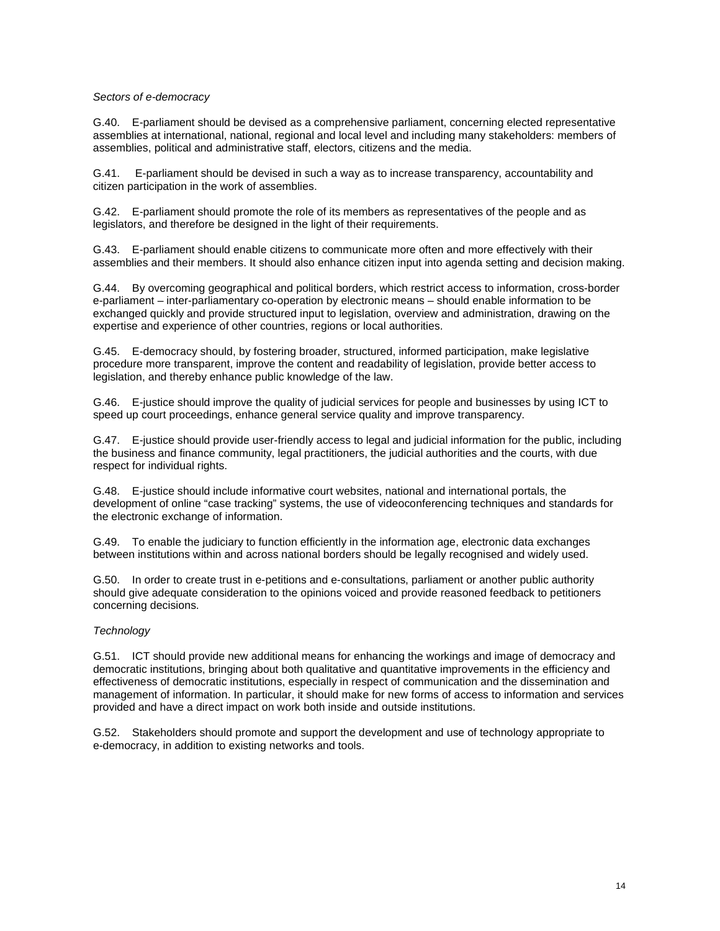## Sectors of e-democracy

G.40. E-parliament should be devised as a comprehensive parliament, concerning elected representative assemblies at international, national, regional and local level and including many stakeholders: members of assemblies, political and administrative staff, electors, citizens and the media.

G.41. E-parliament should be devised in such a way as to increase transparency, accountability and citizen participation in the work of assemblies.

G.42. E-parliament should promote the role of its members as representatives of the people and as legislators, and therefore be designed in the light of their requirements.

G.43. E-parliament should enable citizens to communicate more often and more effectively with their assemblies and their members. It should also enhance citizen input into agenda setting and decision making.

G.44. By overcoming geographical and political borders, which restrict access to information, cross-border e-parliament – inter-parliamentary co-operation by electronic means – should enable information to be exchanged quickly and provide structured input to legislation, overview and administration, drawing on the expertise and experience of other countries, regions or local authorities.

G.45. E-democracy should, by fostering broader, structured, informed participation, make legislative procedure more transparent, improve the content and readability of legislation, provide better access to legislation, and thereby enhance public knowledge of the law.

G.46. E-justice should improve the quality of judicial services for people and businesses by using ICT to speed up court proceedings, enhance general service quality and improve transparency.

G.47. E-justice should provide user-friendly access to legal and judicial information for the public, including the business and finance community, legal practitioners, the judicial authorities and the courts, with due respect for individual rights.

G.48. E-justice should include informative court websites, national and international portals, the development of online "case tracking" systems, the use of videoconferencing techniques and standards for the electronic exchange of information.

G.49. To enable the judiciary to function efficiently in the information age, electronic data exchanges between institutions within and across national borders should be legally recognised and widely used.

G.50. In order to create trust in e-petitions and e-consultations, parliament or another public authority should give adequate consideration to the opinions voiced and provide reasoned feedback to petitioners concerning decisions.

# **Technology**

G.51. ICT should provide new additional means for enhancing the workings and image of democracy and democratic institutions, bringing about both qualitative and quantitative improvements in the efficiency and effectiveness of democratic institutions, especially in respect of communication and the dissemination and management of information. In particular, it should make for new forms of access to information and services provided and have a direct impact on work both inside and outside institutions.

G.52. Stakeholders should promote and support the development and use of technology appropriate to e-democracy, in addition to existing networks and tools.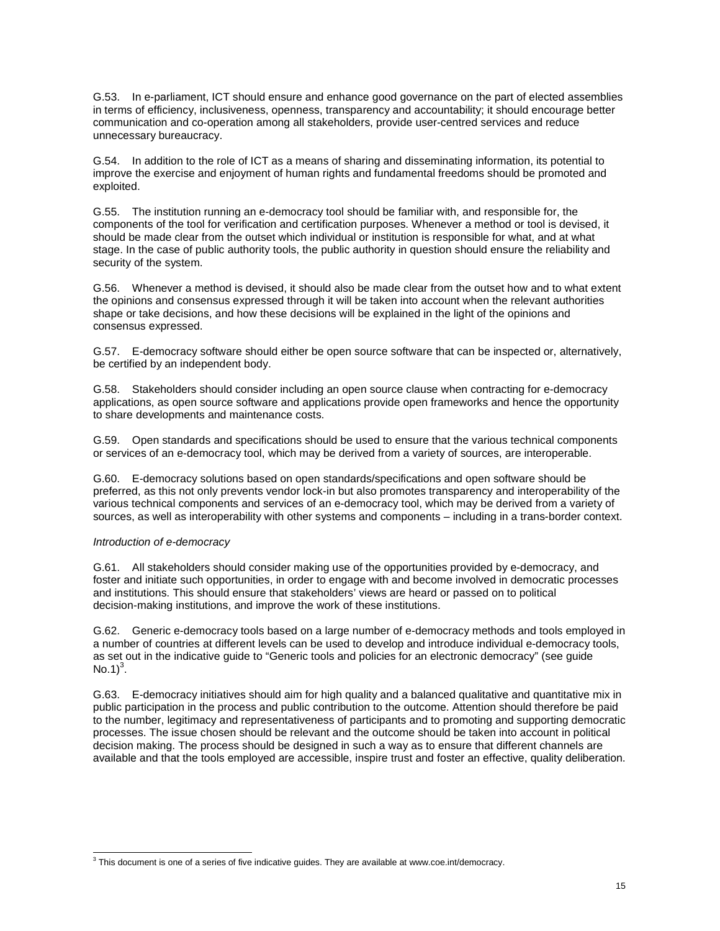G.53. In e-parliament, ICT should ensure and enhance good governance on the part of elected assemblies in terms of efficiency, inclusiveness, openness, transparency and accountability; it should encourage better communication and co-operation among all stakeholders, provide user-centred services and reduce unnecessary bureaucracy.

G.54. In addition to the role of ICT as a means of sharing and disseminating information, its potential to improve the exercise and enjoyment of human rights and fundamental freedoms should be promoted and exploited.

G.55. The institution running an e-democracy tool should be familiar with, and responsible for, the components of the tool for verification and certification purposes. Whenever a method or tool is devised, it should be made clear from the outset which individual or institution is responsible for what, and at what stage. In the case of public authority tools, the public authority in question should ensure the reliability and security of the system.

G.56. Whenever a method is devised, it should also be made clear from the outset how and to what extent the opinions and consensus expressed through it will be taken into account when the relevant authorities shape or take decisions, and how these decisions will be explained in the light of the opinions and consensus expressed.

G.57. E-democracy software should either be open source software that can be inspected or, alternatively, be certified by an independent body.

G.58. Stakeholders should consider including an open source clause when contracting for e-democracy applications, as open source software and applications provide open frameworks and hence the opportunity to share developments and maintenance costs.

G.59. Open standards and specifications should be used to ensure that the various technical components or services of an e-democracy tool, which may be derived from a variety of sources, are interoperable.

G.60. E-democracy solutions based on open standards/specifications and open software should be preferred, as this not only prevents vendor lock-in but also promotes transparency and interoperability of the various technical components and services of an e-democracy tool, which may be derived from a variety of sources, as well as interoperability with other systems and components – including in a trans-border context.

### Introduction of e-democracy

 $\overline{a}$ 

G.61. All stakeholders should consider making use of the opportunities provided by e-democracy, and foster and initiate such opportunities, in order to engage with and become involved in democratic processes and institutions. This should ensure that stakeholders' views are heard or passed on to political decision-making institutions, and improve the work of these institutions.

G.62. Generic e-democracy tools based on a large number of e-democracy methods and tools employed in a number of countries at different levels can be used to develop and introduce individual e-democracy tools, as set out in the indicative guide to "Generic tools and policies for an electronic democracy" (see guide No.1 $)^3$ .

G.63. E-democracy initiatives should aim for high quality and a balanced qualitative and quantitative mix in public participation in the process and public contribution to the outcome. Attention should therefore be paid to the number, legitimacy and representativeness of participants and to promoting and supporting democratic processes. The issue chosen should be relevant and the outcome should be taken into account in political decision making. The process should be designed in such a way as to ensure that different channels are available and that the tools employed are accessible, inspire trust and foster an effective, quality deliberation.

 $3$  This document is one of a series of five indicative guides. They are available at www.coe.int/democracy.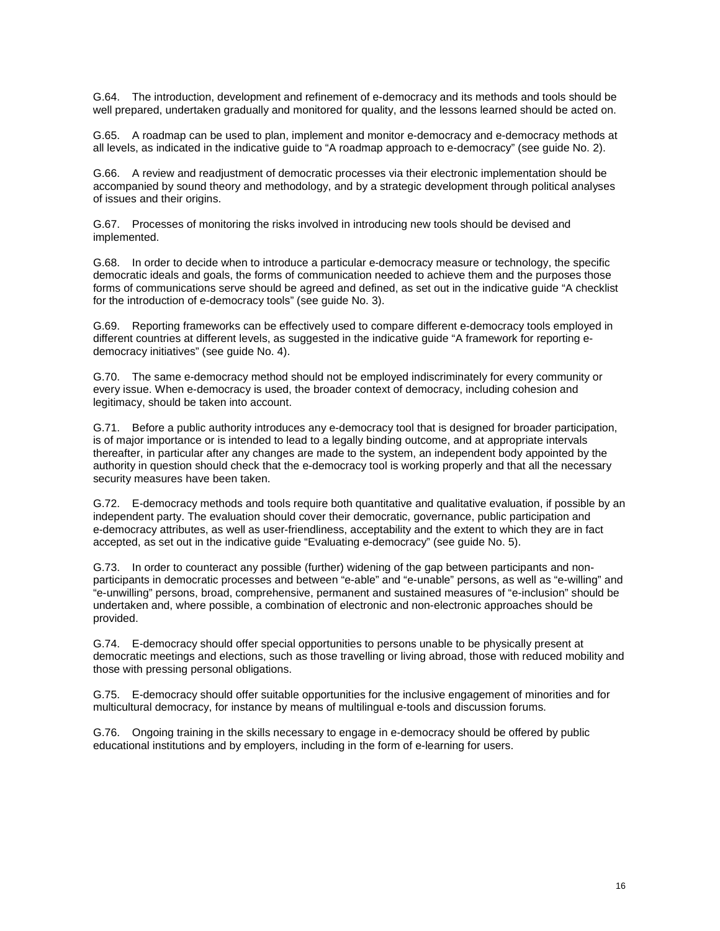G.64. The introduction, development and refinement of e-democracy and its methods and tools should be well prepared, undertaken gradually and monitored for quality, and the lessons learned should be acted on.

G.65. A roadmap can be used to plan, implement and monitor e-democracy and e-democracy methods at all levels, as indicated in the indicative guide to "A roadmap approach to e-democracy" (see guide No. 2).

G.66. A review and readjustment of democratic processes via their electronic implementation should be accompanied by sound theory and methodology, and by a strategic development through political analyses of issues and their origins.

G.67. Processes of monitoring the risks involved in introducing new tools should be devised and implemented.

G.68. In order to decide when to introduce a particular e-democracy measure or technology, the specific democratic ideals and goals, the forms of communication needed to achieve them and the purposes those forms of communications serve should be agreed and defined, as set out in the indicative guide "A checklist for the introduction of e-democracy tools" (see guide No. 3).

G.69. Reporting frameworks can be effectively used to compare different e-democracy tools employed in different countries at different levels, as suggested in the indicative guide "A framework for reporting edemocracy initiatives" (see guide No. 4).

G.70. The same e-democracy method should not be employed indiscriminately for every community or every issue. When e-democracy is used, the broader context of democracy, including cohesion and legitimacy, should be taken into account.

G.71. Before a public authority introduces any e-democracy tool that is designed for broader participation, is of major importance or is intended to lead to a legally binding outcome, and at appropriate intervals thereafter, in particular after any changes are made to the system, an independent body appointed by the authority in question should check that the e-democracy tool is working properly and that all the necessary security measures have been taken.

G.72. E-democracy methods and tools require both quantitative and qualitative evaluation, if possible by an independent party. The evaluation should cover their democratic, governance, public participation and e-democracy attributes, as well as user-friendliness, acceptability and the extent to which they are in fact accepted, as set out in the indicative guide "Evaluating e-democracy" (see guide No. 5).

G.73. In order to counteract any possible (further) widening of the gap between participants and nonparticipants in democratic processes and between "e-able" and "e-unable" persons, as well as "e-willing" and "e-unwilling" persons, broad, comprehensive, permanent and sustained measures of "e-inclusion" should be undertaken and, where possible, a combination of electronic and non-electronic approaches should be provided.

G.74. E-democracy should offer special opportunities to persons unable to be physically present at democratic meetings and elections, such as those travelling or living abroad, those with reduced mobility and those with pressing personal obligations.

G.75. E-democracy should offer suitable opportunities for the inclusive engagement of minorities and for multicultural democracy, for instance by means of multilingual e-tools and discussion forums.

G.76. Ongoing training in the skills necessary to engage in e-democracy should be offered by public educational institutions and by employers, including in the form of e-learning for users.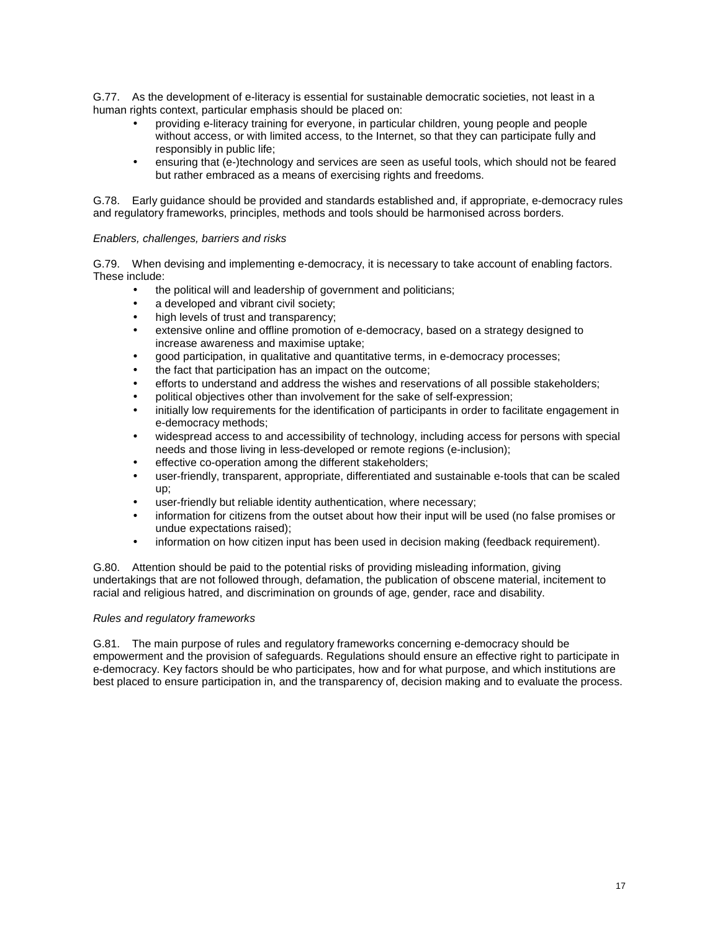G.77. As the development of e-literacy is essential for sustainable democratic societies, not least in a human rights context, particular emphasis should be placed on:

- providing e-literacy training for everyone, in particular children, young people and people without access, or with limited access, to the Internet, so that they can participate fully and responsibly in public life;
- ensuring that (e-)technology and services are seen as useful tools, which should not be feared but rather embraced as a means of exercising rights and freedoms.

G.78. Early guidance should be provided and standards established and, if appropriate, e-democracy rules and regulatory frameworks, principles, methods and tools should be harmonised across borders.

### Enablers, challenges, barriers and risks

G.79. When devising and implementing e-democracy, it is necessary to take account of enabling factors. These include:

- the political will and leadership of government and politicians;
- a developed and vibrant civil society;
- high levels of trust and transparency;
- extensive online and offline promotion of e-democracy, based on a strategy designed to increase awareness and maximise uptake;
- good participation, in qualitative and quantitative terms, in e-democracy processes;
- the fact that participation has an impact on the outcome;
- efforts to understand and address the wishes and reservations of all possible stakeholders;
- political objectives other than involvement for the sake of self-expression;
- initially low requirements for the identification of participants in order to facilitate engagement in e-democracy methods;
- widespread access to and accessibility of technology, including access for persons with special needs and those living in less-developed or remote regions (e-inclusion);
- effective co-operation among the different stakeholders:
- user-friendly, transparent, appropriate, differentiated and sustainable e-tools that can be scaled up;
- user-friendly but reliable identity authentication, where necessary;
- information for citizens from the outset about how their input will be used (no false promises or undue expectations raised);
- information on how citizen input has been used in decision making (feedback requirement).

G.80. Attention should be paid to the potential risks of providing misleading information, giving undertakings that are not followed through, defamation, the publication of obscene material, incitement to racial and religious hatred, and discrimination on grounds of age, gender, race and disability.

### Rules and regulatory frameworks

G.81. The main purpose of rules and regulatory frameworks concerning e-democracy should be empowerment and the provision of safeguards. Regulations should ensure an effective right to participate in e-democracy. Key factors should be who participates, how and for what purpose, and which institutions are best placed to ensure participation in, and the transparency of, decision making and to evaluate the process.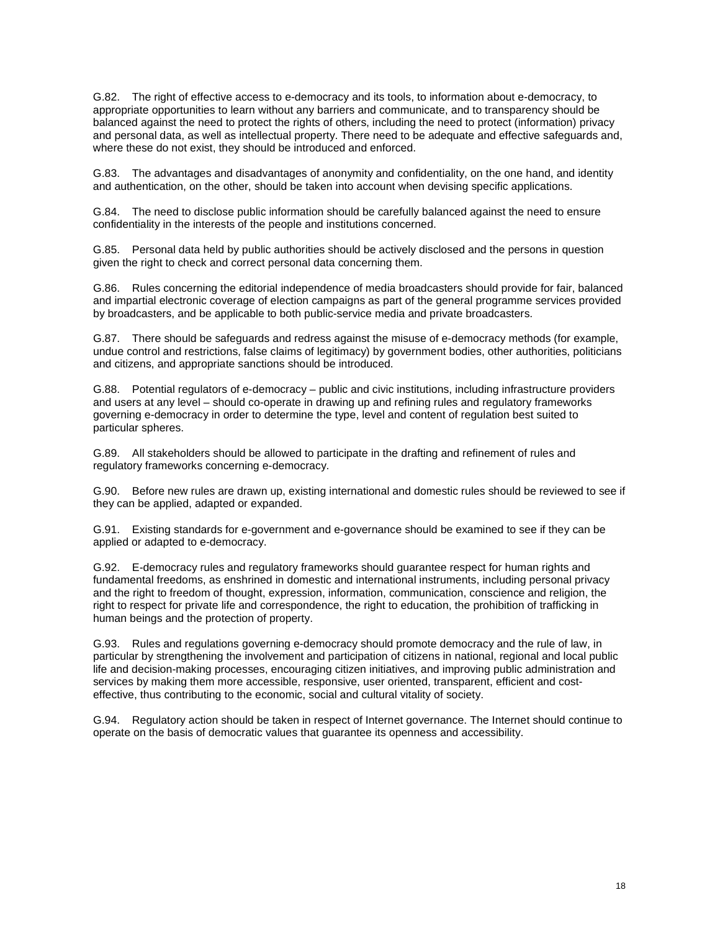G.82. The right of effective access to e-democracy and its tools, to information about e-democracy, to appropriate opportunities to learn without any barriers and communicate, and to transparency should be balanced against the need to protect the rights of others, including the need to protect (information) privacy and personal data, as well as intellectual property. There need to be adequate and effective safeguards and, where these do not exist, they should be introduced and enforced.

G.83. The advantages and disadvantages of anonymity and confidentiality, on the one hand, and identity and authentication, on the other, should be taken into account when devising specific applications.

G.84. The need to disclose public information should be carefully balanced against the need to ensure confidentiality in the interests of the people and institutions concerned.

G.85. Personal data held by public authorities should be actively disclosed and the persons in question given the right to check and correct personal data concerning them.

G.86. Rules concerning the editorial independence of media broadcasters should provide for fair, balanced and impartial electronic coverage of election campaigns as part of the general programme services provided by broadcasters, and be applicable to both public-service media and private broadcasters.

G.87. There should be safeguards and redress against the misuse of e-democracy methods (for example, undue control and restrictions, false claims of legitimacy) by government bodies, other authorities, politicians and citizens, and appropriate sanctions should be introduced.

G.88. Potential regulators of e-democracy – public and civic institutions, including infrastructure providers and users at any level – should co-operate in drawing up and refining rules and regulatory frameworks governing e-democracy in order to determine the type, level and content of regulation best suited to particular spheres.

G.89. All stakeholders should be allowed to participate in the drafting and refinement of rules and regulatory frameworks concerning e-democracy.

G.90. Before new rules are drawn up, existing international and domestic rules should be reviewed to see if they can be applied, adapted or expanded.

G.91. Existing standards for e-government and e-governance should be examined to see if they can be applied or adapted to e-democracy.

G.92. E-democracy rules and regulatory frameworks should guarantee respect for human rights and fundamental freedoms, as enshrined in domestic and international instruments, including personal privacy and the right to freedom of thought, expression, information, communication, conscience and religion, the right to respect for private life and correspondence, the right to education, the prohibition of trafficking in human beings and the protection of property.

G.93. Rules and regulations governing e-democracy should promote democracy and the rule of law, in particular by strengthening the involvement and participation of citizens in national, regional and local public life and decision-making processes, encouraging citizen initiatives, and improving public administration and services by making them more accessible, responsive, user oriented, transparent, efficient and costeffective, thus contributing to the economic, social and cultural vitality of society.

G.94. Regulatory action should be taken in respect of Internet governance. The Internet should continue to operate on the basis of democratic values that guarantee its openness and accessibility.